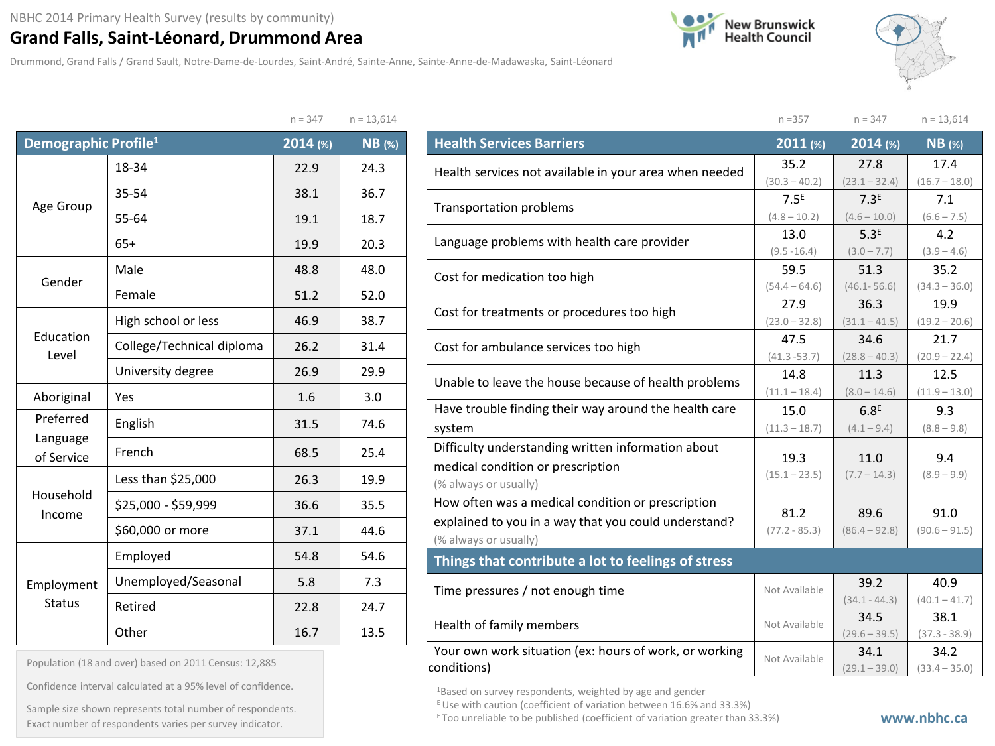## **Grand Falls, Saint-Léonard, Drummond Area**

Drummond, Grand Falls / Grand Sault, Notre-Dame-de-Lourdes, Saint-André, Sainte-Anne, Sainte-Anne-de-Madawaska, Saint-Léonard





|                                  |                           | $n = 347$ | $n = 13,614$  |
|----------------------------------|---------------------------|-----------|---------------|
| Demographic Profile <sup>1</sup> |                           | 2014 (%)  | <b>NB</b> (%) |
|                                  | 18-34                     | 22.9      | 24.3          |
|                                  | 35-54                     | 38.1      | 36.7          |
| Age Group                        | 55-64                     | 19.1      | 18.7          |
|                                  | $65+$                     | 19.9      | 20.3          |
| Gender                           | Male                      | 48.8      | 48.0          |
|                                  | Female                    |           | 52.0          |
|                                  | High school or less       | 46.9      | 38.7          |
| Education<br>Level               | College/Technical diploma | 26.2      | 31.4          |
|                                  | University degree         | 26.9      | 29.9          |
| Aboriginal                       | Yes                       | 1.6       | 3.0           |
| Preferred                        | English                   | 31.5      | 74.6          |
| Language<br>of Service           | French                    | 68.5      | 25.4          |
|                                  | Less than \$25,000        | 26.3      | 19.9          |
| Household<br>Income              | \$25,000 - \$59,999       | 36.6      | 35.5          |
|                                  | \$60,000 or more          | 37.1      | 44.6          |
|                                  | Employed                  | 54.8      | 54.6          |
| Employment                       | Unemployed/Seasonal       | 5.8       | 7.3           |
| <b>Status</b>                    | Retired                   | 22.8      | 24.7          |
|                                  | Other                     | 16.7      | 13.5          |

| Population (18 and over) based on 2011 Census: 12,885 |  |  |  |  |  |  |  |
|-------------------------------------------------------|--|--|--|--|--|--|--|
|-------------------------------------------------------|--|--|--|--|--|--|--|

Confidence interval calculated at a 95% level of confidence.

Exact number of respondents varies per survey indicator.<br>Exact number of respondents varies per survey indicator. Sample size shown represents total number of respondents.

|                                                        | $n = 357$        | $n = 347$        | $n = 13,614$    |
|--------------------------------------------------------|------------------|------------------|-----------------|
| <b>Health Services Barriers</b>                        | $2011$ (%)       | $2014$ (%)       | <b>NB</b> (%)   |
| Health services not available in your area when needed | 35.2             | 27.8             | 17.4            |
|                                                        | $(30.3 - 40.2)$  | $(23.1 - 32.4)$  | $(16.7 - 18.0)$ |
| <b>Transportation problems</b>                         | 7.5 <sup>E</sup> | 7.3 <sup>E</sup> | 7.1             |
|                                                        | $(4.8 - 10.2)$   | $(4.6 - 10.0)$   | $(6.6 - 7.5)$   |
| Language problems with health care provider            | 13.0             | 5.3 <sup>E</sup> | 4.2             |
|                                                        | $(9.5 - 16.4)$   | $(3.0 - 7.7)$    | $(3.9 - 4.6)$   |
| Cost for medication too high                           | 59.5             | 51.3             | 35.2            |
|                                                        | $(54.4 - 64.6)$  | $(46.1 - 56.6)$  | $(34.3 - 36.0)$ |
| Cost for treatments or procedures too high             | 27.9             | 36.3             | 19.9            |
|                                                        | $(23.0 - 32.8)$  | $(31.1 - 41.5)$  | $(19.2 - 20.6)$ |
| Cost for ambulance services too high                   | 47.5             | 34.6             | 21.7            |
|                                                        | $(41.3 - 53.7)$  | $(28.8 - 40.3)$  | $(20.9 - 22.4)$ |
| Unable to leave the house because of health problems   | 14.8             | 11.3             | 12.5            |
|                                                        | $(11.1 - 18.4)$  | $(8.0 - 14.6)$   | $(11.9 - 13.0)$ |
| Have trouble finding their way around the health care  | 15.0             | 6.8 <sup>E</sup> | 9.3             |
| system                                                 | $(11.3 - 18.7)$  | $(4.1 - 9.4)$    | $(8.8 - 9.8)$   |
| Difficulty understanding written information about     |                  |                  |                 |
| medical condition or prescription                      | 19.3             | 11.0             | 9.4             |
| (% always or usually)                                  | $(15.1 - 23.5)$  | $(7.7 - 14.3)$   | $(8.9 - 9.9)$   |
| How often was a medical condition or prescription      |                  |                  |                 |
| explained to you in a way that you could understand?   | 81.2             | 89.6             | 91.0            |
| (% always or usually)                                  | $(77.2 - 85.3)$  | $(86.4 - 92.8)$  | $(90.6 - 91.5)$ |
| Things that contribute a lot to feelings of stress     |                  |                  |                 |
|                                                        |                  | 39.2             | 40.9            |
| Time pressures / not enough time                       | Not Available    | $(34.1 - 44.3)$  | $(40.1 - 41.7)$ |
| Health of family members                               | Not Available    | 34.5             | 38.1            |
|                                                        |                  | $(29.6 - 39.5)$  | $(37.3 - 38.9)$ |
| Your own work situation (ex: hours of work, or working | Not Available    | 34.1             | 34.2            |
| conditions)                                            |                  | $(29.1 - 39.0)$  | $(33.4 - 35.0)$ |

1Based on survey respondents, weighted by age and gender

 $E$  Use with caution (coefficient of variation between 16.6% and 33.3%)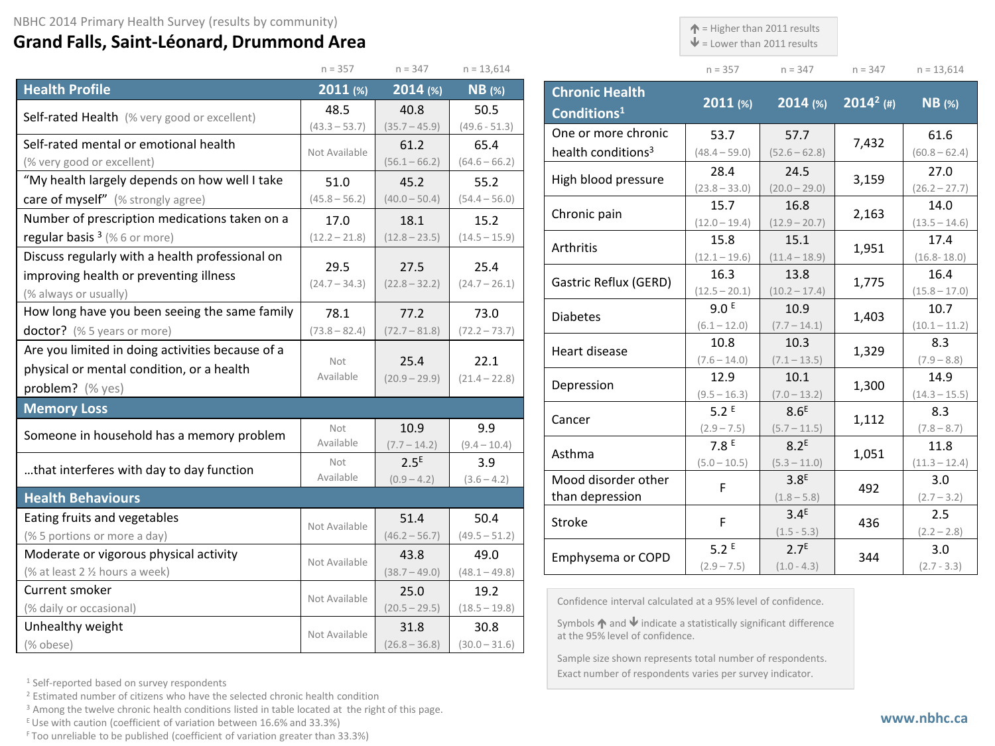## **Grand Falls, Saint-Léonard, Drummond Area**

 $\uparrow$  = Higher than 2011 results

 $\blacktriangleright$  = Lower than 2011 results

| $n = 357$ | $n = 347$ | $n = 347$ | $n = 13614$ |
|-----------|-----------|-----------|-------------|

|                                                  | $n = 357$               | $n = 347$               | $n = 13,614$            |
|--------------------------------------------------|-------------------------|-------------------------|-------------------------|
| <b>Health Profile</b>                            | $2011$ (%)              | 2014 (%)                | <b>NB</b> (%)           |
| Self-rated Health (% very good or excellent)     | 48.5                    | 40.8                    | 50.5                    |
|                                                  | $(43.3 - 53.7)$         | $(35.7 - 45.9)$         | $(49.6 - 51.3)$         |
| Self-rated mental or emotional health            | Not Available           | 61.2                    | 65.4                    |
| (% very good or excellent)                       |                         | $(56.1 - 66.2)$         | $(64.6 - 66.2)$         |
| "My health largely depends on how well I take    | 51.0                    | 45.2                    | 55.2                    |
| care of myself" (% strongly agree)               | $(45.8 - 56.2)$         | $(40.0 - 50.4)$         | $(54.4 - 56.0)$         |
| Number of prescription medications taken on a    | 17.0                    | 18.1                    | 15.2                    |
| regular basis <sup>3</sup> (%6 or more)          | $(12.2 - 21.8)$         | $(12.8 - 23.5)$         | $(14.5 - 15.9)$         |
| Discuss regularly with a health professional on  |                         |                         |                         |
| improving health or preventing illness           | 29.5<br>$(24.7 - 34.3)$ | 27.5<br>$(22.8 - 32.2)$ | 25.4<br>$(24.7 - 26.1)$ |
| (% always or usually)                            |                         |                         |                         |
| How long have you been seeing the same family    | 78.1                    | 77.2                    | 73.0                    |
| doctor? (% 5 years or more)                      | $(73.8 - 82.4)$         | $(72.7 - 81.8)$         | $(72.2 - 73.7)$         |
| Are you limited in doing activities because of a |                         |                         |                         |
| physical or mental condition, or a health        | Not<br>Available        | 25.4                    | 22.1                    |
| problem? (% yes)                                 |                         | $(20.9 - 29.9)$         | $(21.4 - 22.8)$         |
| <b>Memory Loss</b>                               |                         |                         |                         |
| Someone in household has a memory problem        | Not                     | 10.9                    | 9.9                     |
|                                                  | Available               | $(7.7 - 14.2)$          | $(9.4 - 10.4)$          |
| that interferes with day to day function         | Not                     | 2.5 <sup>E</sup>        | 3.9                     |
|                                                  | Available               | $(0.9 - 4.2)$           | $(3.6 - 4.2)$           |
| <b>Health Behaviours</b>                         |                         |                         |                         |
| Eating fruits and vegetables                     | Not Available           | 51.4                    | 50.4                    |
| (% 5 portions or more a day)                     |                         | $(46.2 - 56.7)$         | $(49.5 - 51.2)$         |
| Moderate or vigorous physical activity           | Not Available           | 43.8                    | 49.0                    |
| (% at least 2 1/2 hours a week)                  |                         | $(38.7 - 49.0)$         | $(48.1 - 49.8)$         |
| Current smoker                                   | Not Available           | 25.0                    | 19.2                    |
| (% daily or occasional)                          |                         | $(20.5 - 29.5)$         | $(18.5 - 19.8)$         |
| Unhealthy weight                                 | Not Available           | 31.8                    | 30.8                    |
| (% obese)                                        |                         | $(26.8 - 36.8)$         | $(30.0 - 31.6)$         |

| <b>Chronic Health</b><br>Conditions <sup>1</sup>      | 2011 (%)                           | 2014 (%)                           | $2014^2$ (#) | $NB$ (%)                |
|-------------------------------------------------------|------------------------------------|------------------------------------|--------------|-------------------------|
| One or more chronic<br>health conditions <sup>3</sup> | 53.7<br>$(48.4 - 59.0)$            | 57.7<br>$(52.6 - 62.8)$            | 7,432        | 61.6<br>$(60.8 - 62.4)$ |
| High blood pressure                                   | 28.4<br>$(23.8 - 33.0)$            | 24.5<br>$(20.0 - 29.0)$            | 3,159        | 27.0<br>$(26.2 - 27.7)$ |
| Chronic pain                                          | 15.7<br>$(12.0 - 19.4)$            | 16.8<br>$(12.9 - 20.7)$            | 2,163        | 14.0<br>$(13.5 - 14.6)$ |
| Arthritis                                             | 15.8<br>$(12.1 - 19.6)$            | 15.1<br>$(11.4 - 18.9)$            | 1,951        | 17.4<br>$(16.8 - 18.0)$ |
| Gastric Reflux (GERD)                                 | 16.3<br>$(12.5 - 20.1)$            | 13.8<br>$(10.2 - 17.4)$            | 1,775        | 16.4<br>$(15.8 - 17.0)$ |
| <b>Diabetes</b>                                       | 9.0 <sup>E</sup><br>$(6.1 - 12.0)$ | 10.9<br>$(7.7 - 14.1)$             | 1,403        | 10.7<br>$(10.1 - 11.2)$ |
| Heart disease                                         | 10.8<br>$(7.6 - 14.0)$             | 10.3<br>$(7.1 - 13.5)$             | 1,329        | 8.3<br>$(7.9 - 8.8)$    |
| Depression                                            | 12.9<br>$(9.5 - 16.3)$             | 10.1<br>$(7.0 - 13.2)$             | 1,300        | 14.9<br>$(14.3 - 15.5)$ |
| Cancer                                                | 5.2E<br>$(2.9 - 7.5)$              | 8.6 <sup>E</sup><br>$(5.7 - 11.5)$ | 1,112        | 8.3<br>$(7.8 - 8.7)$    |
| Asthma                                                | 7.8E<br>$(5.0 - 10.5)$             | 8.2 <sup>E</sup><br>$(5.3 - 11.0)$ | 1,051        | 11.8<br>$(11.3 - 12.4)$ |
| Mood disorder other<br>than depression                | F                                  | 3.8 <sup>E</sup><br>$(1.8 - 5.8)$  | 492          | 3.0<br>$(2.7 - 3.2)$    |
| Stroke                                                | F                                  | 3.4 <sup>E</sup><br>$(1.5 - 5.3)$  | 436          | 2.5<br>$(2.2 - 2.8)$    |
| Emphysema or COPD                                     | 5.2E<br>$(2.9 - 7.5)$              | 2.7 <sup>E</sup><br>$(1.0 - 4.3)$  | 344          | 3.0<br>$(2.7 - 3.3)$    |

Confidence interval calculated at a 95% level of confidence.

Symbols  $\bigwedge$  and  $\bigvee$  indicate a statistically significant difference at the 95% level of confidence.

Sample size shown represents total number of respondents. Exact number of respondents varies per survey indicator.

<sup>1</sup> Self-reported based on survey respondents

<sup>2</sup> Estimated number of citizens who have the selected chronic health condition

<sup>3</sup> Among the twelve chronic health conditions listed in table located at the right of this page.

 $E$  Use with caution (coefficient of variation between 16.6% and 33.3%)

F Too unreliable to be published (coefficient of variation greater than 33.3%)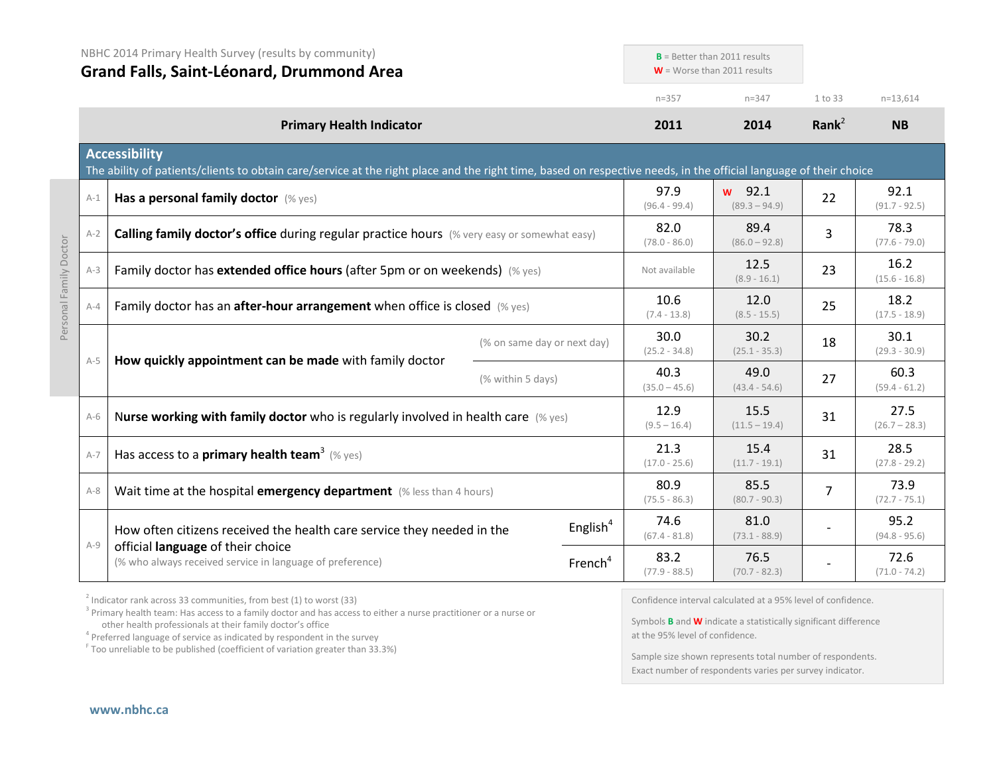|                        | NBHC 2014 Primary Health Survey (results by community)<br>Grand Falls, Saint-Léonard, Drummond Area |                                                                                                                                                                                           | $B =$ Better than 2011 results<br>$W =$ Worse than 2011 results |                     |                         |                             |                |                         |
|------------------------|-----------------------------------------------------------------------------------------------------|-------------------------------------------------------------------------------------------------------------------------------------------------------------------------------------------|-----------------------------------------------------------------|---------------------|-------------------------|-----------------------------|----------------|-------------------------|
|                        |                                                                                                     |                                                                                                                                                                                           |                                                                 |                     | $n = 357$               | $n = 347$                   | 1 to 33        | $n=13,614$              |
|                        |                                                                                                     | <b>Primary Health Indicator</b>                                                                                                                                                           |                                                                 |                     | 2011                    | 2014                        | Rank $^2$      | <b>NB</b>               |
|                        |                                                                                                     | <b>Accessibility</b><br>The ability of patients/clients to obtain care/service at the right place and the right time, based on respective needs, in the official language of their choice |                                                                 |                     |                         |                             |                |                         |
|                        | $A-1$                                                                                               | Has a personal family doctor (% yes)                                                                                                                                                      |                                                                 |                     | 97.9<br>$(96.4 - 99.4)$ | $w$ 92.1<br>$(89.3 - 94.9)$ | 22             | 92.1<br>$(91.7 - 92.5)$ |
|                        | $A-2$                                                                                               | Calling family doctor's office during regular practice hours (% very easy or somewhat easy)                                                                                               |                                                                 |                     | 82.0<br>$(78.0 - 86.0)$ | 89.4<br>$(86.0 - 92.8)$     | 3              | 78.3<br>$(77.6 - 79.0)$ |
| Personal Family Doctor | $A-3$                                                                                               | Family doctor has extended office hours (after 5pm or on weekends) (% yes)                                                                                                                |                                                                 |                     | Not available           | 12.5<br>$(8.9 - 16.1)$      | 23             | 16.2<br>$(15.6 - 16.8)$ |
|                        | $A-4$                                                                                               | Family doctor has an <b>after-hour arrangement</b> when office is closed $(\%$ yes)                                                                                                       |                                                                 |                     | 10.6<br>$(7.4 - 13.8)$  | 12.0<br>$(8.5 - 15.5)$      | 25             | 18.2<br>$(17.5 - 18.9)$ |
|                        | $A-5$                                                                                               |                                                                                                                                                                                           | (% on same day or next day)                                     |                     | 30.0<br>$(25.2 - 34.8)$ | 30.2<br>$(25.1 - 35.3)$     | 18             | 30.1<br>$(29.3 - 30.9)$ |
|                        |                                                                                                     | How quickly appointment can be made with family doctor                                                                                                                                    | (% within 5 days)                                               |                     | 40.3<br>$(35.0 - 45.6)$ | 49.0<br>$(43.4 - 54.6)$     | 27             | 60.3<br>$(59.4 - 61.2)$ |
|                        | $A-6$                                                                                               | Nurse working with family doctor who is regularly involved in health care $(\%$ yes)                                                                                                      |                                                                 |                     | 12.9<br>$(9.5 - 16.4)$  | 15.5<br>$(11.5 - 19.4)$     | 31             | 27.5<br>$(26.7 - 28.3)$ |
|                        | $A-7$                                                                                               | Has access to a <b>primary health team</b> <sup>3</sup> (% yes)                                                                                                                           |                                                                 |                     | 21.3<br>$(17.0 - 25.6)$ | 15.4<br>$(11.7 - 19.1)$     | 31             | 28.5<br>$(27.8 - 29.2)$ |
|                        | $A-8$                                                                                               | Wait time at the hospital emergency department (% less than 4 hours)                                                                                                                      |                                                                 |                     | 80.9<br>$(75.5 - 86.3)$ | 85.5<br>$(80.7 - 90.3)$     | $\overline{7}$ | 73.9<br>$(72.7 - 75.1)$ |
|                        |                                                                                                     | How often citizens received the health care service they needed in the                                                                                                                    |                                                                 | English $4$         | 74.6<br>$(67.4 - 81.8)$ | 81.0<br>$(73.1 - 88.9)$     |                | 95.2<br>$(94.8 - 95.6)$ |
|                        | $A-9$                                                                                               | official language of their choice<br>(% who always received service in language of preference)                                                                                            |                                                                 | French <sup>4</sup> | 83.2<br>$(77.9 - 88.5)$ | 76.5<br>$(70.7 - 82.3)$     |                | 72.6<br>$(71.0 - 74.2)$ |

 $2$  Indicator rank across 33 communities, from best (1) to worst (33)

<sup>3</sup> Primary health team: Has access to a family doctor and has access to either a nurse practitioner or a nurse or other health professionals at their family doctor's office

<sup>F</sup> Too unreliable to be published (coefficient of variation greater than 33.3%)

Confidence interval calculated at a 95% level of confidence.

Symbols **B** and **W** indicate a statistically significant difference at the 95% level of confidence.

Sample size shown represents total number of respondents. Exact number of respondents varies per survey indicator.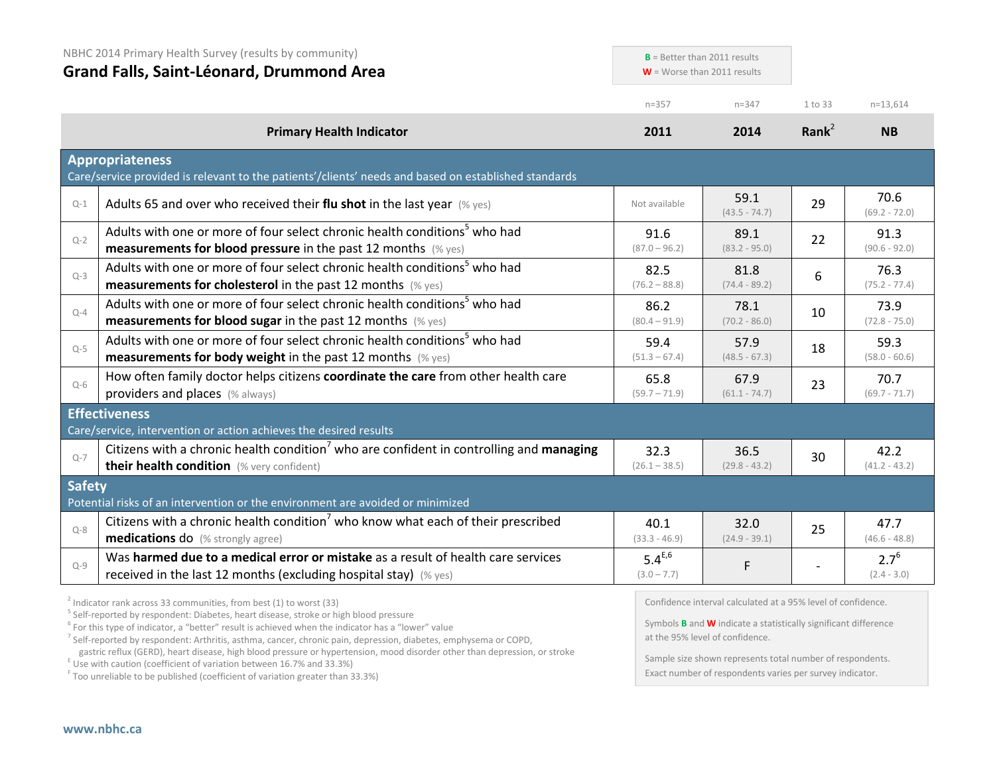| NBHC 2014 Primary Health Survey (results by community)<br>Grand Falls, Saint-Léonard, Drummond Area |                                                                                                                                                                                                                                                                                                             |                              | $B =$ Better than 2011 results<br>$W =$ Worse than 2011 results |                   |                            |
|-----------------------------------------------------------------------------------------------------|-------------------------------------------------------------------------------------------------------------------------------------------------------------------------------------------------------------------------------------------------------------------------------------------------------------|------------------------------|-----------------------------------------------------------------|-------------------|----------------------------|
|                                                                                                     |                                                                                                                                                                                                                                                                                                             | $n = 357$                    | $n = 347$                                                       | 1 to 33           | $n=13,614$                 |
|                                                                                                     | <b>Primary Health Indicator</b>                                                                                                                                                                                                                                                                             | 2011                         | 2014                                                            | Rank <sup>2</sup> | <b>NB</b>                  |
|                                                                                                     | <b>Appropriateness</b><br>Care/service provided is relevant to the patients'/clients' needs and based on established standards                                                                                                                                                                              |                              |                                                                 |                   |                            |
| $Q-1$                                                                                               | Adults 65 and over who received their flu shot in the last year $(\%$ yes)                                                                                                                                                                                                                                  | Not available                | 59.1<br>$(43.5 - 74.7)$                                         | 29                | 70.6<br>$(69.2 - 72.0)$    |
| $Q-2$                                                                                               | Adults with one or more of four select chronic health conditions <sup>5</sup> who had<br><b>measurements for blood pressure</b> in the past 12 months (% yes)                                                                                                                                               | 91.6<br>$(87.0 - 96.2)$      | 89.1<br>$(83.2 - 95.0)$                                         | 22                | 91.3<br>$(90.6 - 92.0)$    |
| $Q-3$                                                                                               | Adults with one or more of four select chronic health conditions <sup>5</sup> who had<br><b>measurements for cholesterol</b> in the past 12 months (% yes)                                                                                                                                                  | 82.5<br>$(76.2 - 88.8)$      | 81.8<br>$(74.4 - 89.2)$                                         | 6                 | 76.3<br>$(75.2 - 77.4)$    |
| $Q-4$                                                                                               | Adults with one or more of four select chronic health conditions <sup>5</sup> who had<br><b>measurements for blood sugar in the past 12 months</b> (% yes)                                                                                                                                                  | 86.2<br>$(80.4 - 91.9)$      | 78.1<br>$(70.2 - 86.0)$                                         | 10                | 73.9<br>$(72.8 - 75.0)$    |
| $O - 5$                                                                                             | Adults with one or more of four select chronic health conditions <sup>5</sup> who had<br><b>measurements for body weight</b> in the past 12 months (% yes)                                                                                                                                                  | 59.4<br>$(51.3 - 67.4)$      | 57.9<br>$(48.5 - 67.3)$                                         | 18                | 59.3<br>$(58.0 - 60.6)$    |
| $Q-6$                                                                                               | How often family doctor helps citizens coordinate the care from other health care<br>providers and places (% always)                                                                                                                                                                                        | 65.8<br>$(59.7 - 71.9)$      | 67.9<br>$(61.1 - 74.7)$                                         | 23                | 70.7<br>$(69.7 - 71.7)$    |
|                                                                                                     | <b>Effectiveness</b><br>Care/service, intervention or action achieves the desired results                                                                                                                                                                                                                   |                              |                                                                 |                   |                            |
| $Q-7$                                                                                               | Citizens with a chronic health condition <sup>7</sup> who are confident in controlling and managing<br>their health condition (% very confident)                                                                                                                                                            | 32.3<br>$(26.1 - 38.5)$      | 36.5<br>$(29.8 - 43.2)$                                         | 30                | 42.2<br>$(41.2 - 43.2)$    |
| <b>Safety</b>                                                                                       | Potential risks of an intervention or the environment are avoided or minimized                                                                                                                                                                                                                              |                              |                                                                 |                   |                            |
| $Q - 8$                                                                                             | Citizens with a chronic health condition <sup>7</sup> who know what each of their prescribed<br><b>medications do</b> (% strongly agree)                                                                                                                                                                    | 40.1<br>$(33.3 - 46.9)$      | 32.0<br>$(24.9 - 39.1)$                                         | 25                | 47.7<br>$(46.6 - 48.8)$    |
| $Q - 9$                                                                                             | Was harmed due to a medical error or mistake as a result of health care services<br>received in the last 12 months (excluding hospital stay) (% yes)                                                                                                                                                        | $5.4^{E,6}$<br>$(3.0 - 7.7)$ | F                                                               |                   | $2.7^{6}$<br>$(2.4 - 3.0)$ |
|                                                                                                     | $2$ Indicator rank across 33 communities, from best (1) to worst (33)<br>.<br>the comment of the comment of the comment of the comment of the comment of the comment of the comment of the comment of the comment of the comment of the comment of the comment of the comment of the comment of the comment |                              | Confidence interval calculated at a 95% level of confidence.    |                   |                            |

 $5$  Self-reported by respondent: Diabetes, heart disease, stroke or high blood pressure  $6$  For this type of indicator, a "better" result is achieved when the indicator has a "lower" value

<sup>7</sup> Self-reported by respondent: Arthritis, asthma, cancer, chronic pain, depression, diabetes, emphysema or COPD, gastric reflux (GERD), heart disease, high blood pressure or hypertension, mood disorder other than depression, or stroke E Use with caution (coefficient of variation between 16.7% and 33.3%)

<sup>F</sup> Too unreliable to be published (coefficient of variation greater than 33.3%)

Symbols **B** and **W** indicate a statistically significant difference at the 95% level of confidence.

Sample size shown represents total number of respondents. Exact number of respondents varies per survey indicator.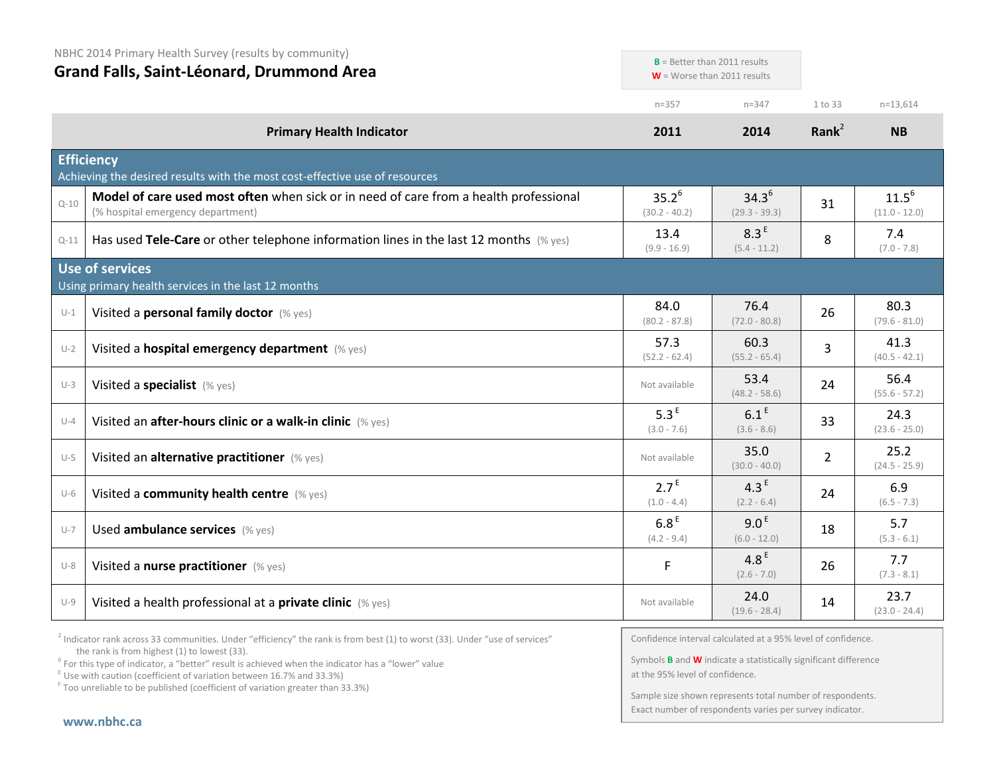NBHC 2014 Primary Health Survey (results by community)

| Grand Falls, Saint-Léonard, Drummond Area |                                                                                                                            | $B =$ Better than 2011 results<br>$W =$ Worse than 2011 results |                                    |                   |                               |
|-------------------------------------------|----------------------------------------------------------------------------------------------------------------------------|-----------------------------------------------------------------|------------------------------------|-------------------|-------------------------------|
|                                           |                                                                                                                            | $n = 357$                                                       | $n = 347$                          | 1 to 33           | $n=13,614$                    |
|                                           | <b>Primary Health Indicator</b>                                                                                            | 2011                                                            | 2014                               | Rank <sup>2</sup> | <b>NB</b>                     |
|                                           | <b>Efficiency</b><br>Achieving the desired results with the most cost-effective use of resources                           |                                                                 |                                    |                   |                               |
| $Q - 10$                                  | Model of care used most often when sick or in need of care from a health professional<br>(% hospital emergency department) | $35.2^{6}$<br>$(30.2 - 40.2)$                                   | $34.3^{6}$<br>$(29.3 - 39.3)$      | 31                | $11.5^{6}$<br>$(11.0 - 12.0)$ |
| $Q-11$                                    | Has used Tele-Care or other telephone information lines in the last 12 months $(\%$ yes)                                   | 13.4<br>$(9.9 - 16.9)$                                          | 8.3 <sup>E</sup><br>$(5.4 - 11.2)$ | 8                 | 7.4<br>$(7.0 - 7.8)$          |
|                                           | <b>Use of services</b><br>Using primary health services in the last 12 months                                              |                                                                 |                                    |                   |                               |
| $U-1$                                     | Visited a personal family doctor (% yes)                                                                                   | 84.0<br>$(80.2 - 87.8)$                                         | 76.4<br>$(72.0 - 80.8)$            | 26                | 80.3<br>$(79.6 - 81.0)$       |
| $U-2$                                     | Visited a hospital emergency department (% yes)                                                                            | 57.3<br>$(52.2 - 62.4)$                                         | 60.3<br>$(55.2 - 65.4)$            | 3                 | 41.3<br>$(40.5 - 42.1)$       |
| $U-3$                                     | Visited a specialist (% yes)                                                                                               | Not available                                                   | 53.4<br>$(48.2 - 58.6)$            | 24                | 56.4<br>$(55.6 - 57.2)$       |
| $U-4$                                     | Visited an after-hours clinic or a walk-in clinic (% yes)                                                                  | 5.3 <sup>E</sup><br>$(3.0 - 7.6)$                               | 6.1 <sup>E</sup><br>$(3.6 - 8.6)$  | 33                | 24.3<br>$(23.6 - 25.0)$       |
| $U-5$                                     | Visited an alternative practitioner (% yes)                                                                                | Not available                                                   | 35.0<br>$(30.0 - 40.0)$            | $\overline{2}$    | 25.2<br>$(24.5 - 25.9)$       |
| $U-6$                                     | Visited a community health centre (% yes)                                                                                  | 2.7 <sup>E</sup><br>$(1.0 - 4.4)$                               | 4.3 $E$<br>$(2.2 - 6.4)$           | 24                | 6.9<br>$(6.5 - 7.3)$          |
| $U-7$                                     | Used ambulance services (% yes)                                                                                            | 6.8 <sup>E</sup><br>$(4.2 - 9.4)$                               | 9.0 <sup>E</sup><br>$(6.0 - 12.0)$ | 18                | 5.7<br>$(5.3 - 6.1)$          |
| $U-8$                                     | Visited a nurse practitioner (% yes)                                                                                       | F                                                               | 4.8 <sup>E</sup><br>$(2.6 - 7.0)$  | 26                | 7.7<br>$(7.3 - 8.1)$          |
| $U-9$                                     | Visited a health professional at a private clinic (% yes)                                                                  | Not available                                                   | 24.0<br>$(19.6 - 28.4)$            | 14                | 23.7<br>$(23.0 - 24.4)$       |

 $2$  Indicator rank across 33 communities. Under "efficiency" the rank is from best (1) to worst (33). Under "use of services" the rank is from highest (1) to lowest (33).

<sup>6</sup> For this type of indicator, a "better" result is achieved when the indicator has a "lower" value  $E$ <sup>E</sup> Use with caution (coefficient of variation between 16.7% and 33.3%)

<sup>F</sup> Too unreliable to be published (coefficient of variation greater than 33.3%)

Confidence interval calculated at a 95% level of confidence.

**B**  $\mathbf{B}$  = Better than 2011 results that

Symbols **B** and **W** indicate a statistically significant difference at the 95% level of confidence.

Sample size shown represents total number of respondents. Exact number of respondents varies per survey indicator.